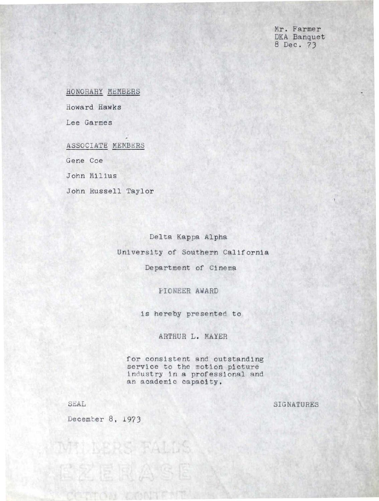Mr. Farmer DKA Banquet 8 Dec. 73

•)

HONORARY MEMBERS

Howard Hawks

Lee Garmes

ASSOCIATE MEMBERS

Gene Coe

John Milius

John Russell Taylor

Delta Kappa Alpha University of Southern California

Department of Cinema

PIO NEER AWARD

is hereby presented to

ARTHUR L. MAYER

for consistent and outstanding service to the motion picture industry in a professional and an academic capacity.

SEAL

SIGNATURES

December 8, 1973

乙属原

MILERS RALLS